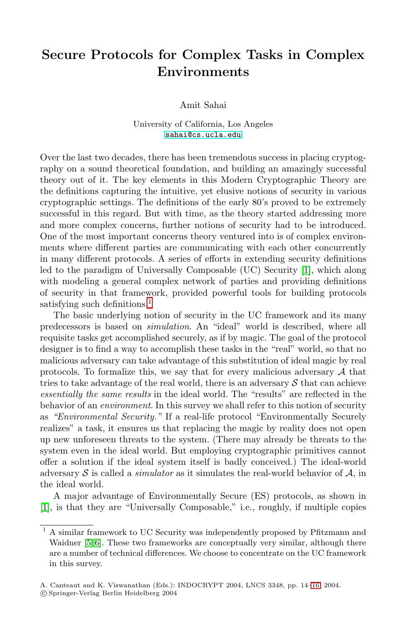## **Secure Protocols for Complex Tasks in Complex Environments**

Amit Sahai

University of California, Los Angeles [sahai@cs.ucla.edu](mailto:sahai@cs.ucla.edu)

Over the last two decades, there has been tremendous success in placing cryptography on a sound theoretical foundation, and building an amazingly successful theory out of it. The key elements in this Modern Cryptographic Theory are the definitions capturing the intuitive, yet elusive notions of security in various cryptographic settings. The definitions of the early 80's proved to be extremely successful in this regard. But with time, as the theory started addressing more and more complex concerns, further notions of security had to be introduced. One of the most important concerns theory ventured into is of complex environments where different parties are communicating with each other concurrently in many different protocols. A series of efforts in extending security definitions led to the paradigm of Universally Composable (UC) Security [\[1\]](#page-1-0), which along with modeling a general complex network of parties and providing definitions of security in that framework, provided powerful tools for building protocols satisfying such definitions.<sup>1</sup>

The basic underlying notion of security in the UC framework and its many predecessors is based on *simulation*. An "ideal" world is described, where all requisite tasks get accomplished securely, as if by magic. The goal of the protocol designer is to find a way to accomplish these tasks in the "real" world, so that no malicious adversary can take advantage of this substitution of ideal magic by real protocols. To formalize this, we say that for every malicious adversary  $A$  that tries to take advantage of the real world, there is an adversary  $S$  that can achieve *essentially the same results* in the ideal world. The "results" are reflected in the behavior of an *environment*. In this survey we shall refer to this notion of security as *"Environmental Security."* If a real-life protocol "Environmentally Securely realizes" a task, it ensures us that replacing the magic by reality does not open up new unforeseen threats to the system. (There may already be threats to the system even in the ideal world. But employing cryptographic primitives cannot offer a solution if the ideal system itself is badly conceived.) The ideal-world adversary  $S$  is called a *simulator* as it simulates the real-world behavior of  $A$ , in the ideal world.

A major advantage of Environmentally Secure (ES) protocols, as shown in [\[1\]](#page-1-0), is that they are "Universally Composable," i.e., roughly, if multiple copies

<sup>1</sup> A similar framework to UC Security was independently proposed by Pfitzmann and Waidner [\[5,](#page-1-0) [6\]](#page-2-0). These two frameworks are conceptually very similar, although there are a number of technical differences. We choose to concentrate on the UC framework in this survey.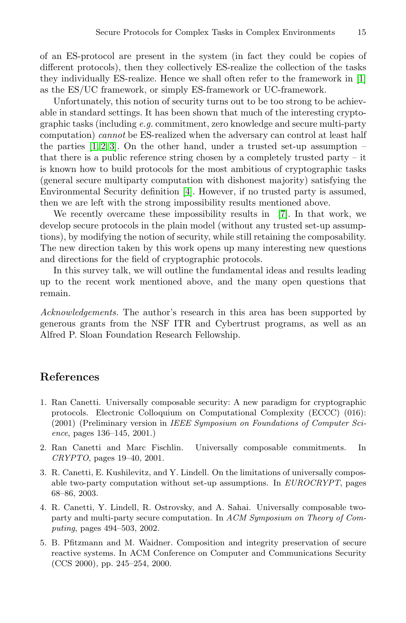<span id="page-1-0"></span>of an ES-protocol are present in the system (in fact they could be copies of different protocols), then they collectively ES-realize the collection of the tasks they individually ES-realize. Hence we shall often refer to the framework in [1] as the ES/UC framework, or simply ES-framework or UC-framework.

Unfortunately, this notion of security turns out to be too strong to be achievable in standard settings. It has been shown that much of the interesting cryptographic tasks (including *e.g.* commitment, zero knowledge and secure multi-party computation) *cannot* be ES-realized when the adversary can control at least half the parties  $[1, 2, 3]$ . On the other hand, under a trusted set-up assumption – that there is a public reference string chosen by a completely trusted party  $-$  it is known how to build protocols for the most ambitious of cryptographic tasks (general secure multiparty computation with dishonest majority) satisfying the Environmental Security definition [4]. However, if no trusted party is assumed, then we are left with the strong impossibility results mentioned above.

We recently overcame these impossibility results in [\[7\]](#page-2-0). In that work, we develop secure protocols in the plain model (without any trusted set-up assumptions), by modifying the notion of security, while still retaining the composability. The new direction taken by this work opens up many interesting new questions and directions for the field of cryptographic protocols.

In this survey talk, we will outline the fundamental ideas and results leading up to the recent work mentioned above, and the many open questions that remain.

*Acknowledgements.* The author's research in this area has been supported by generous grants from the NSF ITR and Cybertrust programs, as well as an Alfred P. Sloan Foundation Research Fellowship.

## **References**

- 1. Ran Canetti. Universally composable security: A new paradigm for cryptographic protocols. Electronic Colloquium on Computational Complexity (ECCC) (016): (2001) (Preliminary version in IEEE Symposium on Foundations of Computer Science, pages 136–145, 2001.)
- 2. Ran Canetti and Marc Fischlin. Universally composable commitments. In CRYPTO, pages 19–40, 2001.
- 3. R. Canetti, E. Kushilevitz, and Y. Lindell. On the limitations of universally composable two-party computation without set-up assumptions. In EUROCRYPT, pages 68–86, 2003.
- 4. R. Canetti, Y. Lindell, R. Ostrovsky, and A. Sahai. Universally composable twoparty and multi-party secure computation. In ACM Symposium on Theory of Computing, pages 494–503, 2002.
- 5. B. Pfitzmann and M. Waidner. Composition and integrity preservation of secure reactive systems. In ACM Conference on Computer and Communications Security (CCS 2000), pp. 245–254, 2000.